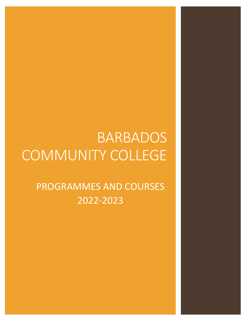# BARBADOS COMMUNITY COLLEGE

# PROGRAMMES AND COURSES 2022-2023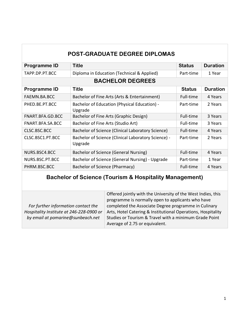| <b>POST-GRADUATE DEGREE DIPLOMAS</b> |                                                                |               |                 |
|--------------------------------------|----------------------------------------------------------------|---------------|-----------------|
| Programme ID                         | <b>Title</b>                                                   | <b>Status</b> | <b>Duration</b> |
| TAPP.DP.PT.BCC                       | Diploma in Education (Technical & Applied)                     | Part-time     | 1 Year          |
|                                      | <b>BACHELOR DEGREES</b>                                        |               |                 |
| <b>Programme ID</b>                  | <b>Title</b>                                                   | <b>Status</b> | <b>Duration</b> |
| FAEMN.BA.BCC                         | Bachelor of Fine Arts (Arts & Entertainment)                   | Full-time     | 4 Years         |
| PHED.BE.PT.BCC                       | Bachelor of Education (Physical Education) -<br>Upgrade        | Part-time     | 2 Years         |
| FNART.BFA.GD.BCC                     | Bachelor of Fine Arts (Graphic Design)                         | Full-time     | 3 Years         |
| FNART.BFA.SA.BCC                     | Bachelor of Fine Arts (Studio Art)                             | Full-time     | 3 Years         |
| CLSC.BSC.BCC                         | Bachelor of Science (Clinical Laboratory Science)              | Full-time     | 4 Years         |
| CLSC.BSC1.PT.BCC                     | Bachelor of Science (Clinical Laboratory Science) -<br>Upgrade | Part-time     | 2 Years         |
| NURS.BSC4.BCC                        | Bachelor of Science (General Nursing)                          | Full-time     | 4 Years         |
| NURS.BSC.PT.BCC                      | Bachelor of Science (General Nursing) - Upgrade                | Part-time     | 1 Year          |
| PHRM.BSC.BCC                         | Bachelor of Science (Pharmacy)                                 | Full-time     | 4 Years         |

#### **Bachelor of Science (Tourism & Hospitality Management)**

|                                          | Offered jointly with the University of the West Indies, this<br>programme is normally open to applicants who have |
|------------------------------------------|-------------------------------------------------------------------------------------------------------------------|
|                                          |                                                                                                                   |
| For further information contact the      | completed the Associate Degree programme in Culinary                                                              |
|                                          |                                                                                                                   |
| Hospitality Institute at 246-228-0900 or | Arts, Hotel Catering & Institutional Operations, Hospitality                                                      |
|                                          |                                                                                                                   |
| by email at pomarine@sunbeach.net        | Studies or Tourism & Travel with a minimum Grade Point                                                            |
|                                          |                                                                                                                   |
|                                          | Average of 2.75 or equivalent.                                                                                    |
|                                          |                                                                                                                   |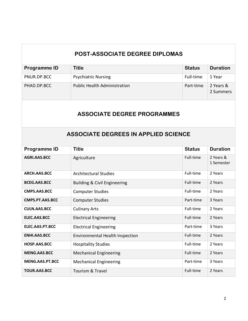### **POST-ASSOCIATE DEGREE DIPLOMAS**

| Programme ID | Title                               | <b>Status</b> | <b>Duration</b>        |
|--------------|-------------------------------------|---------------|------------------------|
| PNUR.DP.BCC  | <b>Psychiatric Nursing</b>          | Full-time     | 1 Year                 |
| PHAD.DP.BCC  | <b>Public Health Administration</b> | Part-time     | 2 Years &<br>2 Summers |

#### **ASSOCIATE DEGREE PROGRAMMES**

# **ASSOCIATE DEGREES IN APPLIED SCIENCE**

| <b>Programme ID</b> | <b>Title</b>                           | <b>Status</b> | <b>Duration</b>         |
|---------------------|----------------------------------------|---------------|-------------------------|
| AGRI.AAS.BCC        | Agriculture                            | Full-time     | 2 Years &<br>1 Semester |
| ARCH.AAS.BCC        | <b>Architectural Studies</b>           | Full-time     | 2 Years                 |
| <b>BCEG.AAS.BCC</b> | Building & Civil Engineering           | Full-time     | 2 Years                 |
| CMPS.AAS.BCC        | <b>Computer Studies</b>                | Full-time     | 2 Years                 |
| CMPS.PT.AAS.BCC     | <b>Computer Studies</b>                | Part-time     | 3 Years                 |
| <b>CULN.AAS.BCC</b> | <b>Culinary Arts</b>                   | Full-time     | 2 Years                 |
| ELEC.AAS.BCC        | <b>Electrical Engineering</b>          | Full-time     | 2 Years                 |
| ELEC.AAS.PT.BCC     | <b>Electrical Engineering</b>          | Part-time     | 3 Years                 |
| <b>ENHI.AAS.BCC</b> | <b>Environmental Health Inspection</b> | Full-time     | 2 Years                 |
| HOSP.AAS.BCC        | <b>Hospitality Studies</b>             | Full-time     | 2 Years                 |
| <b>MENG.AAS.BCC</b> | <b>Mechanical Engineering</b>          | Full-time     | 2 Years                 |
| MENG.AAS.PT.BCC     | <b>Mechanical Engineering</b>          | Part-time     | 3 Years                 |
| <b>TOUR.AAS.BCC</b> | <b>Tourism &amp; Travel</b>            | Full-time     | 2 Years                 |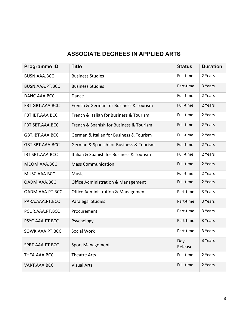| <b>ASSOCIATE DEGREES IN APPLIED ARTS</b> |                                               |                 |                 |
|------------------------------------------|-----------------------------------------------|-----------------|-----------------|
| <b>Programme ID</b>                      | <b>Title</b>                                  | <b>Status</b>   | <b>Duration</b> |
| BUSN.AAA.BCC                             | <b>Business Studies</b>                       | Full-time       | 2 Years         |
| BUSN.AAA.PT.BCC                          | <b>Business Studies</b>                       | Part-time       | 3 Years         |
| DANC.AAA.BCC                             | Dance                                         | Full-time       | 2 Years         |
| FBT.GBT.AAA.BCC                          | French & German for Business & Tourism        | Full-time       | 2 Years         |
| FBT.IBT.AAA.BCC                          | French & Italian for Business & Tourism       | Full-time       | 2 Years         |
| FBT.SBT.AAA.BCC                          | French & Spanish for Business & Tourism       | Full-time       | 2 Years         |
| GBT.IBT.AAA.BCC                          | German & Italian for Business & Tourism       | Full-time       | 2 Years         |
| GBT.SBT.AAA.BCC                          | German & Spanish for Business & Tourism       | Full-time       | 2 Years         |
| IBT.SBT.AAA.BCC                          | Italian & Spanish for Business & Tourism      | Full-time       | 2 Years         |
| MCOM.AAA.BCC                             | <b>Mass Communication</b>                     | Full-time       | 2 Years         |
| MUSC.AAA.BCC                             | Music                                         | Full-time       | 2 Years         |
| OADM.AAA.BCC                             | <b>Office Administration &amp; Management</b> | Full-time       | 2 Years         |
| OADM.AAA.PT.BCC                          | <b>Office Administration &amp; Management</b> | Part-time       | 3 Years         |
| PARA.AAA.PT.BCC                          | <b>Paralegal Studies</b>                      | Part-time       | 3 Years         |
| PCUR.AAA.PT.BCC                          | Procurement                                   | Part-time       | 3 Years         |
| PSYC.AAA.PT.BCC                          | Psychology                                    | Part-time       | 3 Years         |
| SOWK.AAA.PT.BCC                          | Social Work                                   | Part-time       | 3 Years         |
| SPRT.AAA.PT.BCC                          | <b>Sport Management</b>                       | Day-<br>Release | 3 Years         |
| THEA.AAA.BCC                             | <b>Theatre Arts</b>                           | Full-time       | 2 Years         |
| VART.AAA.BCC                             | <b>Visual Arts</b>                            | Full-time       | 2 Years         |

Г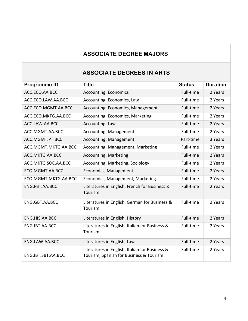# **ASSOCIATE DEGREE MAJORS**

### **ASSOCIATE DEGREES IN ARTS**

| Programme ID         | <b>Title</b>                                                                              | <b>Status</b> | <b>Duration</b> |
|----------------------|-------------------------------------------------------------------------------------------|---------------|-----------------|
| ACC.ECO.AA.BCC       | Accounting, Economics                                                                     | Full-time     | 2 Years         |
| ACC.ECO.LAW.AA.BCC   | Accounting, Economics, Law                                                                | Full-time     | 2 Years         |
| ACC.ECO.MGMT.AA.BCC  | Accounting, Economics, Management                                                         | Full-time     | 2 Years         |
| ACC.ECO.MKTG.AA.BCC  | Accounting, Economics, Marketing                                                          | Full-time     | 2 Years         |
| ACC.LAW.AA.BCC       | Accounting, Law                                                                           | Full-time     | 2 Years         |
| ACC.MGMT.AA.BCC      | Accounting, Management                                                                    | Full-time     | 2 Years         |
| ACC.MGMT.PT.BCC      | Accounting, Management                                                                    | Part-time     | 3 Years         |
| ACC.MGMT.MKTG.AA.BCC | Accounting, Management, Marketing                                                         | Full-time     | 2 Years         |
| ACC.MKTG.AA.BCC      | Accounting, Marketing                                                                     | Full-time     | 2 Years         |
| ACC.MKTG.SOC.AA.BCC  | Accounting, Marketing, Sociology                                                          | Full-time     | 2 Years         |
| ECO.MGMT.AA.BCC      | Economics, Management                                                                     | Full-time     | 2 Years         |
| ECO.MGMT.MKTG.AA.BCC | Economics, Management, Marketing                                                          | Full-time     | 2 Years         |
| ENG.FBT.AA.BCC       | Literatures in English, French for Business &<br>Tourism                                  | Full-time     | 2 Years         |
| ENG.GBT.AA.BCC       | Literatures in English, German for Business &<br>Tourism                                  | Full-time     | 2 Years         |
| ENG.HIS.AA.BCC       | Literatures in English, History                                                           | Full-time     | 2 Years         |
| ENG.IBT.AA.BCC       | Literatures in English, Italian for Business &<br>Tourism                                 | Full-time     | 2 Years         |
| ENG.LAW.AA.BCC       | Literatures in English, Law                                                               | Full-time     | 2 Years         |
| ENG.IBT.SBT.AA.BCC   | Literatures in English, Italian for Business &<br>Tourism, Spanish for Business & Tourism | Full-time     | 2 Years         |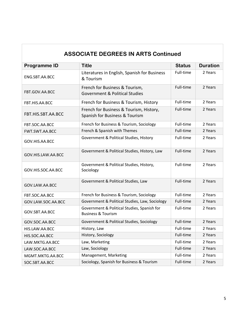| <b>ASSOCIATE DEGREES IN ARTS Continued</b> |                                                                                           |               |                 |
|--------------------------------------------|-------------------------------------------------------------------------------------------|---------------|-----------------|
| <b>Programme ID</b>                        | <b>Title</b>                                                                              | <b>Status</b> | <b>Duration</b> |
| ENG.SBT.AA.BCC                             | Literatures in English, Spanish for Business<br>& Tourism                                 | Full-time     | 2 Years         |
| FBT.GOV.AA.BCC                             | French for Business & Tourism,<br><b>Government &amp; Political Studies</b>               | Full-time     | 2 Years         |
| FBT.HIS.AA.BCC                             | French for Business & Tourism, History                                                    | Full-time     | 2 Years         |
| FBT.HIS.SBT.AA.BCC                         | French for Business & Tourism, History,<br>Spanish for Business & Tourism                 | Full-time     | 2 Years         |
| FBT.SOC.AA.BCC                             | French for Business & Tourism, Sociology                                                  | Full-time     | 2 Years         |
| FWT.SWT.AA.BCC                             | French & Spanish with Themes                                                              | Full-time     | 2 Years         |
| GOV.HIS.AA.BCC                             | Government & Political Studies, History<br>Full-time                                      |               | 2 Years         |
| GOV.HIS.LAW.AA.BCC                         | Government & Political Studies, History, Law                                              | Full-time     | 2 Years         |
| GOV.HIS.SOC.AA.BCC                         | Government & Political Studies, History,<br>Sociology                                     | Full-time     | 2 Years         |
| GOV.LAW.AA.BCC                             | Government & Political Studies, Law                                                       |               | 2 Years         |
| FBT.SOC.AA.BCC                             | French for Business & Tourism, Sociology                                                  | Full-time     | 2 Years         |
| GOV.LAW.SOC.AA.BCC                         | Government & Political Studies, Law, Sociology                                            | Full-time     | 2 Years         |
| GOV.SBT.AA.BCC                             | Government & Political Studies, Spanish for<br>Full-time<br><b>Business &amp; Tourism</b> |               | 2 Years         |
| GOV.SOC.AA.BCC                             | Government & Political Studies, Sociology                                                 | Full-time     | 2 Years         |
| HIS.LAW.AA.BCC                             | History, Law                                                                              | Full-time     | 2 Years         |
| HIS.SOC.AA.BCC                             | History, Sociology                                                                        | Full-time     | 2 Years         |
| LAW.MKTG.AA.BCC                            | Law, Marketing                                                                            | Full-time     | 2 Years         |
| LAW.SOC.AA.BCC                             | Law, Sociology                                                                            | Full-time     | 2 Years         |
| MGMT.MKTG.AA.BCC                           | Management, Marketing                                                                     | Full-time     | 2 Years         |
| SOC.SBT.AA.BCC                             | Sociology, Spanish for Business & Tourism<br>Full-time                                    |               | 2 Years         |

Г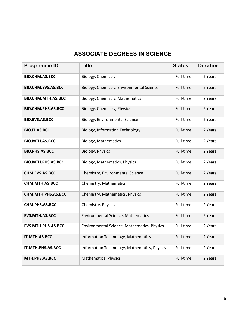# **ASSOCIATE DEGREES IN SCIENCE Programme ID Title Title Title Status Duration BIO.CHM.AS.BCC** Biology, Chemistry **Example 2** Years Pull-time 2 Years **BIO.CHM.EVS.AS.BCC** Biology, Chemistry, Environmental Science Full-time 2 Years **BIO.CHM.MTH.AS.BCC** Biology, Chemistry, Mathematics Full-time 2 Years **BIO.CHM.PHS.AS.BCC** Biology, Chemistry, Physics Full-time 2 Years **BIO.EVS.AS.BCC** Biology, Environmental Science Full-time 2 Years **BIO.IT.AS.BCC** Biology, Information Technology Full-time 2 Years **BIO.MTH.AS.BCC** Biology, Mathematics **Example 2 Years** Full-time 2 Years **BIO.PHS.AS.BCC** Biology, Physics **Example 2 Years** Full-time 2 Years **BIO.MTH.PHS.AS.BCC** Biology, Mathematics, Physics Full-time 2 Years **CHM.EVS.AS.BCC** Chemistry, Environmental Science Full-time 2 Years **CHM.MTH.AS.BCC** Chemistry, Mathematics CHM.MTH.AS.BCC CHEMISTY, Mathematics CHEMISTY CHEMISTY **CHM.MTH.PHS.AS.BCC** Chemistry, Mathematics, Physics Full-time 2 Years

**CHM.PHS.AS.BCC** Chemistry, Physics Chemistry, Physics Full-time 2 Years

**EVS.MTH.AS.BCC** Environmental Science, Mathematics Full-time 2 Years

**EVS.MTH.PHS.AS.BCC** Environmental Science, Mathematics, Physics Full-time 2 Years

**IT.MTH.AS.BCC** Information Technology, Mathematics Full-time 2 Years

**IT.MTH.PHS.AS.BCC** Information Technology, Mathematics, Physics Full-time 2 Years

**MTH.PHS.AS.BCC** Mathematics, Physics **Full-time 2 Years**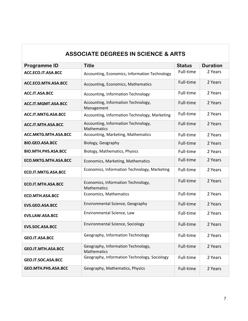# **ASSOCIATE DEGREES IN SCIENCE & ARTS**

| <b>Programme ID</b>        | <b>Title</b>                                              | <b>Status</b> | <b>Duration</b> |
|----------------------------|-----------------------------------------------------------|---------------|-----------------|
| ACC.ECO.IT.ASA.BCC         | Accounting, Economics, Information Technology             | Full-time     | 2 Years         |
| ACC.ECO.MTH.ASA.BCC        | Accounting, Economics, Mathematics                        | Full-time     | 2 Years         |
| ACC.IT.ASA.BCC             | Accounting, Information Technology                        | Full-time     | 2 Years         |
| ACC.IT.MGMT.ASA.BCC        | Accounting, Information Technology,<br>Management         | Full-time     | 2 Years         |
| ACC.IT.MKTG.ASA.BCC        | Accounting, Information Technology, Marketing             | Full-time     | 2 Years         |
| ACC.IT.MTH.ASA.BCC         | Accounting, Information Technology,<br><b>Mathematics</b> | Full-time     | 2 Years         |
| ACC.MKTG.MTH.ASA.BCC       | Accounting, Marketing, Mathematics                        | Full-time     | 2 Years         |
| <b>BIO.GEO.ASA.BCC</b>     | Biology, Geography                                        | Full-time     | 2 Years         |
| <b>BIO.MTH.PHS.ASA.BCC</b> | Biology, Mathematics, Physics                             | Full-time     | 2 Years         |
| ECO.MKTG.MTH.ASA.BCC       | Economics, Marketing, Mathematics                         | Full-time     | 2 Years         |
| <b>ECO.IT.MKTG.ASA.BCC</b> | Economics, Information Technology, Marketing              | Full-time     | 2 Years         |
| ECO.IT.MTH.ASA.BCC         | Economics, Information Technology,<br>Mathematics         | Full-time     | 2 Years         |
| <b>ECO.MTH.ASA.BCC</b>     | Economics, Mathematics                                    | Full-time     | 2 Years         |
| <b>EVS.GEO.ASA.BCC</b>     | Environmental Science, Geography                          | Full-time     | 2 Years         |
| <b>EVS.LAW.ASA.BCC</b>     | Environmental Science, Law                                | Full-time     | 2 Years         |
| EVS.SOC.ASA.BCC            | Environmental Science, Sociology                          | Full-time     | 2 Years         |
| <b>GEO.IT.ASA.BCC</b>      | Geography, Information Technology                         | Full-time     | 2 Years         |
| <b>GEO.IT.MTH.ASA.BCC</b>  | Geography, Information Technology,<br><b>Mathematics</b>  | Full-time     | 2 Years         |
| GEO.IT.SOC.ASA.BCC         | Geography, Information Technology, Sociology              | Full-time     | 2 Years         |
| GEO.MTH.PHS.ASA.BCC        | Geography, Mathematics, Physics                           | Full-time     | 2 Years         |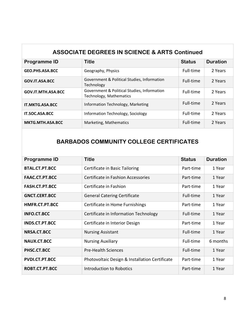| <b>ASSOCIATE DEGREES IN SCIENCE &amp; ARTS Continued</b> |                                                                        |               |                 |
|----------------------------------------------------------|------------------------------------------------------------------------|---------------|-----------------|
| <b>Programme ID</b>                                      | <b>Title</b>                                                           | <b>Status</b> | <b>Duration</b> |
| GEO.PHS.ASA.BCC                                          | Geography, Physics                                                     | Full-time     | 2 Years         |
| GOV.IT.ASA.BCC                                           | Government & Political Studies, Information<br>Technology              | Full-time     | 2 Years         |
| GOV.IT.MTH.ASA.BCC                                       | Government & Political Studies, Information<br>Technology, Mathematics | Full-time     | 2 Years         |
| <b>IT.MKTG.ASA.BCC</b>                                   | Information Technology, Marketing                                      | Full-time     | 2 Years         |
| <b>IT.SOC.ASA.BCC</b>                                    | Information Technology, Sociology                                      | Full-time     | 2 Years         |
| MKTG.MTH.ASA.BCC                                         | Marketing, Mathematics                                                 | Full-time     | 2 Years         |

# **BARBADOS COMMUNITY COLLEGE CERTIFICATES**

| <b>Programme ID</b>   | <b>Title</b>                                   | <b>Status</b> | <b>Duration</b> |
|-----------------------|------------------------------------------------|---------------|-----------------|
| <b>BTAL.CT.PT.BCC</b> | Certificate in Basic Tailoring                 | Part-time     | 1 Year          |
| FAAC.CT.PT.BCC        | Certificate in Fashion Accessories             | Part-time     | 1 Year          |
| FASH.CT.PT.BCC        | Certificate in Fashion                         | Part-time     | 1 Year          |
| <b>GNCT.CERT.BCC</b>  | <b>General Catering Certificate</b>            | Full-time     | 1 Year          |
| HMFR.CT.PT.BCC        | Certificate in Home Furnishings                | Part-time     | 1 Year          |
| <b>INFO.CT.BCC</b>    | Certificate in Information Technology          | Full-time     | 1 Year          |
| <b>INDS.CT.PT.BCC</b> | Certificate in Interior Design                 | Part-time     | 1 Year          |
| NRSA.CT.BCC           | <b>Nursing Assistant</b>                       | Full-time     | 1 Year          |
| NAUX.CT.BCC           | Full-time<br><b>Nursing Auxiliary</b>          |               | 6 months        |
| PHSC.CT.BCC           | Full-time<br><b>Pre-Health Sciences</b>        |               | 1 Year          |
| PVDI.CT.PT.BCC        | Photovoltaic Design & Installation Certificate | Part-time     | 1 Year          |
| ROBT.CT.PT.BCC        | <b>Introduction to Robotics</b>                | Part-time     | 1 Year          |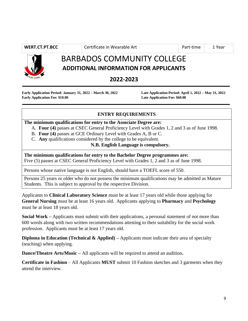**WERT.CT.PT.BCC** Certificate in Wearable Art Part-time 1 Year



# BARBADOS COMMUNITY COLLEGE **ADDITIONAL INFORMATION FOR APPLICANTS**

**2022-2023**

**Early Application Period: January 31, 2022 – March 30, 2022 Late Application Period: April 1, 2022 – May 31, 2022 Early Application Fee: \$10.00 Late Application Fee: \$60.00**

#### **ENTRY REQUIREMENTS**

#### **The minimum qualifications for entry to the Associate Degree are:**

- A. **Four (4)** passes at CSEC General Proficiency Level with Grades 1, 2 and 3 as of June 1998.
- B. **Four (4)** passes at GCE Ordinary Level with Grades A, B or C.
- C. **Any** qualifications considered by the college to be equivalent.

#### **N.B. English Language is compulsory.**

**The minimum qualifications for entry to the Bachelor Degree programmes are:** Five (5) passes at CSEC General Proficiency Level with Grades 1, 2 and 3 as of June 1998.

Persons whose native language is not English, should have a TOEFL score of 550.

Persons 25 years or older who do not possess the minimum qualifications may be admitted as Mature Students. This is subject to approval by the respective Division.

Applicants to **Clinical Laboratory Science** must be at least 17 years old while those applying for **General Nursing** must be at least 16 years old. Applicants applying to **Pharmacy** and **Psychology** must be at least 18 years old.

**Social Work –** Applicants must submit with their applications, a personal statement of not more than 600 words along with two written recommendations attesting to their suitability for the social work profession. Applicants must be at least 17 years old.

**Diploma in Education (Technical & Applied)** – Applicants must indicate their area of specialty (teaching) when applying.

**Dance/Theatre Arts/Music –** All applicants will be required to attend an audition**.**

**Certificate in Fashion** – All Applicants **MUST** submit 10 Fashion sketches and 3 garments when they attend the interview.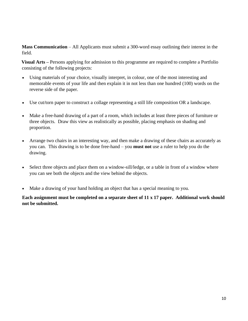**Mass Communication** – All Applicants must submit a 300-word essay outlining their interest in the field.

 **Visual Arts –** Persons applying for admission to this programme are required to complete a Portfolio consisting of the following projects:

- Using materials of your choice, visually interpret, in colour, one of the most interesting and memorable events of your life and then explain it in not less than one hundred (100) words on the reverse side of the paper.
- Use cut/torn paper to construct a collage representing a still life composition OR a landscape.
- Make a free-hand drawing of a part of a room, which includes at least three pieces of furniture or three objects. Draw this view as realistically as possible, placing emphasis on shading and proportion.
- Arrange two chairs in an interesting way, and then make a drawing of these chairs as accurately as you can. This drawing is to be done free-hand – you **must not** use a ruler to help you do the drawing.
- Select three objects and place them on a window-sill/ledge, or a table in front of a window where you can see both the objects and the view behind the objects.
- Make a drawing of your hand holding an object that has a special meaning to you.

**Each assignment must be completed on a separate sheet of 11 x 17 paper. Additional work should not be submitted.**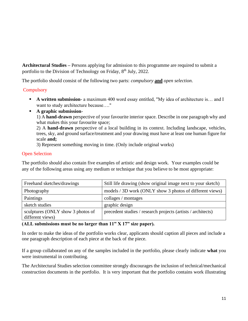**Architectural Studies –** Persons applying for admission to this programme are required to submit a portfolio to the Division of Technology on Friday, 8<sup>th</sup> July, 2022.

The portfolio should consist of the following two parts: *compulsory* **and** *open selection*.

#### **Compulsory**

- **A written submission** a maximum 400 word essay entitled, "My idea of architecture is... and I want to study architecture because…."
- **A graphic submission**-

1) A **hand-drawn** perspective of your favourite interior space. Describe in one paragraph why and what makes this your favourite space;

2) A **hand-drawn** perspective of a local building in its context. Including landscape, vehicles, trees, sky, and ground surface/treatment and your drawing must have at least one human figure for scale **and;**

3) Represent something moving in time. (Only include original works)

#### Open Selection

The portfolio should also contain five examples of artistic and design work. Your examples could be any of the following areas using any medium or technique that you believe to be most appropriate:

| Freehand sketches/drawings        | Still life drawing (show original image next to your sketch) |
|-----------------------------------|--------------------------------------------------------------|
| Photography                       | models / 3D work (ONLY show 3 photos of different views)     |
| Paintings                         | collages / montages                                          |
| sketch studies                    | graphic design                                               |
| sculptures (ONLY show 3 photos of | precedent studies / research projects (artists / architects) |
| different views)                  |                                                              |

#### **(ALL submissions must be no larger than 11" X 17" size paper).**

In order to make the ideas of the portfolio works clear, applicants should caption all pieces and include a one paragraph description of each piece at the back of the piece.

If a group collaborated on any of the samples included in the portfolio, please clearly indicate **what** you were instrumental in contributing.

The Architectural Studies selection committee strongly discourages the inclusion of technical/mechanical construction documents in the portfolio. It is very important that the portfolio contains work illustrating